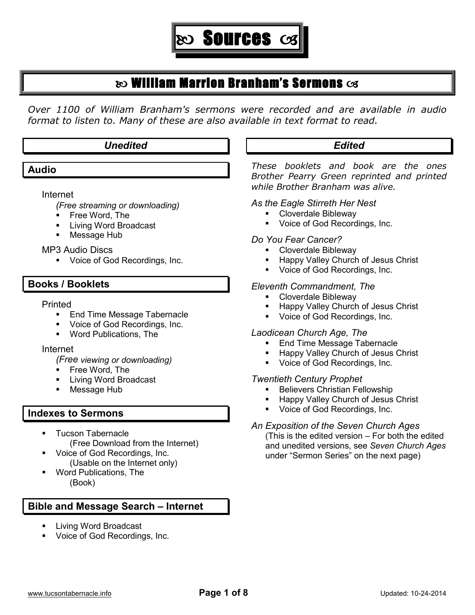

# $\infty$  William Marrion Branham's Sermons  $\infty$

*Over 1100 of William Branham's sermons were recorded and are available in audio format to listen to. Many of these are also available in text format to read.*

## *Unedited*

**Audio**

 $\overline{a}$ 

#### Internet

*(Free streaming or downloading)*

- **Free Word, The**
- **Living Word Broadcast**
- **Message Hub**

#### MP3 Audio Discs

Voice of God Recordings, Inc.

## **Books / Booklets**

#### Printed

- **End Time Message Tabernacle**
- **Voice of God Recordings, Inc.**
- Word Publications, The

#### Internet

*(Free viewing or downloading)*

- **Free Word, The**
- Living Word Broadcast
- Message Hub

# **Indexes to Sermons**

- Tucson Tabernacle (Free Download from the Internet)
- Voice of God Recordings, Inc. (Usable on the Internet only)
- Word Publications, The (Book)

# **Bible and Message Search – Internet**

- Living Word Broadcast
- Voice of God Recordings, Inc.

# *Edited*

*These booklets and book are the ones Brother Pearry Green reprinted and printed while Brother Branham was alive.*

#### *As the Eagle Stirreth Her Nest*

- Cloverdale Bibleway
- **Voice of God Recordings, Inc.**

## *Do You Fear Cancer?*

- Cloverdale Bibleway
- Happy Valley Church of Jesus Christ
- Voice of God Recordings, Inc.

## *Eleventh Commandment, The*

- **-** Cloverdale Bibleway
- Happy Valley Church of Jesus Christ
- Voice of God Recordings, Inc.

## *Laodicean Church Age, The*

- End Time Message Tabernacle
- Happy Valley Church of Jesus Christ
- Voice of God Recordings, Inc.

## *Twentieth Century Prophet*

- Believers Christian Fellowship
- **Happy Valley Church of Jesus Christ**
- Voice of God Recordings, Inc.

## *An Exposition of the Seven Church Ages*

(This is the edited version – For both the edited and unedited versions, see *Seven Church Ages* under "Sermon Series" on the next page)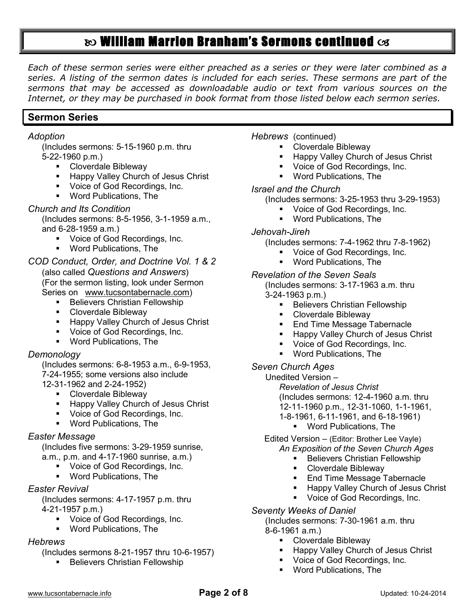# **&** William Marrion Branham's Sermons continued  $\infty$

*Each of these sermon series were either preached as a series or they were later combined as a series. A listing of the sermon dates is included for each series. These sermons are part of the sermons that may be accessed as downloadable audio or text from various sources on the Internet, or they may be purchased in book format from those listed below each sermon series.*

## **Sermon Series**

#### *Adoption*

(Includes sermons: 5-15-1960 p.m. thru 5-22-1960 p.m.)

- **-** Cloverdale Bibleway
- **Happy Valley Church of Jesus Christ**
- Voice of God Recordings, Inc.
- Word Publications, The

## *Church and Its Condition*

(Includes sermons: 8-5-1956, 3-1-1959 a.m., and 6-28-1959 a.m.)

- **Voice of God Recordings, Inc.**
- Word Publications, The

#### *COD Conduct, Order, and Doctrine Vol. 1 & 2*

(also called *Questions and Answers*) (For the sermon listing, look under Sermon Series on [www.tucsontabernacle.com\)](http://www.tucsontabernacle.com/)

- **Believers Christian Fellowship**
- **-** Cloverdale Bibleway
- **Happy Valley Church of Jesus Christ**
- Voice of God Recordings, Inc.
- Word Publications, The

## *Demonology*

(Includes sermons: 6-8-1953 a.m., 6-9-1953, 7-24-1955; some versions also include

- 12-31-1962 and 2-24-1952)
	- **-** Cloverdale Bibleway
	- **Happy Valley Church of Jesus Christ**
	- **Voice of God Recordings, Inc.**
	- Word Publications, The

#### *Easter Message*

(Includes five sermons: 3-29-1959 sunrise, a.m., p.m. and 4-17-1960 sunrise, a.m.)

- **Voice of God Recordings, Inc.**
- Word Publications, The

## *Easter Revival*

(Includes sermons: 4-17-1957 p.m. thru 4-21-1957 p.m.)

- **Voice of God Recordings, Inc.**
- Word Publications, The

## *Hebrews*

(Includes sermons 8-21-1957 thru 10-6-1957)

**Believers Christian Fellowship** 

*Hebrews* (continued)

- **-** Cloverdale Bibleway
- **Happy Valley Church of Jesus Christ**
- Voice of God Recordings, Inc.
- Word Publications, The

#### *Israel and the Church*

(Includes sermons: 3-25-1953 thru 3-29-1953)

- Voice of God Recordings, Inc.
- **Word Publications. The**

#### *Jehovah-Jireh*

(Includes sermons: 7-4-1962 thru 7-8-1962)

- **Voice of God Recordings, Inc.**
- Word Publications, The

## *Revelation of the Seven Seals*

(Includes sermons: 3-17-1963 a.m. thru 3-24-1963 p.m.)

- **Believers Christian Fellowship**
- **Cloverdale Bibleway**
- End Time Message Tabernacle
- Happy Valley Church of Jesus Christ
- Voice of God Recordings, Inc.
- Word Publications, The

#### *Seven Church Ages*

Unedited Version –

*Revelation of Jesus Christ* (Includes sermons: 12-4-1960 a.m. thru 12-11-1960 p.m., 12-31-1060, 1-1-1961, 1-8-1961, 6-11-1961, and 6-18-1961)

Word Publications, The

Edited Version – (Editor: Brother Lee Vayle) *An Exposition of the Seven Church Ages*

- **Believers Christian Fellowship** 
	- **-** Cloverdale Bibleway
	- End Time Message Tabernacle
	- Happy Valley Church of Jesus Christ
	- **Voice of God Recordings, Inc.**

#### *Seventy Weeks of Daniel*

(Includes sermons: 7-30-1961 a.m. thru 8-6-1961 a.m.)

- **-** Cloverdale Bibleway
- Happy Valley Church of Jesus Christ
- **Voice of God Recordings, Inc.**
- Word Publications, The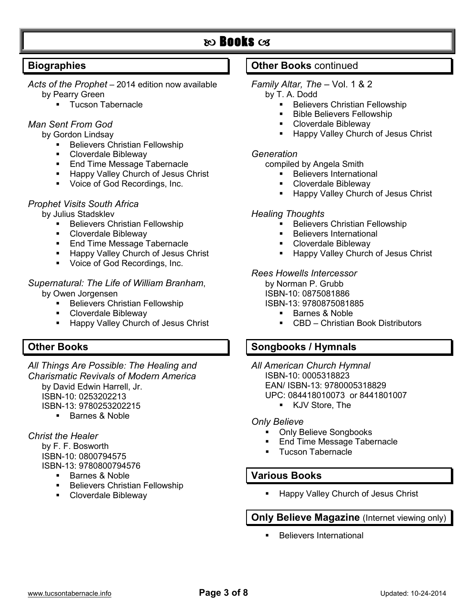# $\infty$  Books  $\infty$

## **Biographies**

- *Acts of the Prophet* 2014 edition now available by Pearry Green
	- **Tucson Tabernacle**

## *Man Sent From God*

- by Gordon Lindsay
	- Believers Christian Fellowship
	- Cloverdale Bibleway
	- **End Time Message Tabernacle**
	- **Happy Valley Church of Jesus Christ**
	- **Voice of God Recordings, Inc.**

#### *Prophet Visits South Africa*

by Julius Stadsklev

- Believers Christian Fellowship
- Cloverdale Bibleway
- **End Time Message Tabernacle**
- **Happy Valley Church of Jesus Christ**
- **Voice of God Recordings, Inc.**

# *Supernatural: The Life of William Branham*,

- by Owen Jorgensen
	- **Believers Christian Fellowship**
	- **-** Cloverdale Bibleway
	- **Happy Valley Church of Jesus Christ**

## **Other Books**

*All Things Are Possible: The Healing and Charismatic Revivals of Modern America* by David Edwin Harrell, Jr. ISBN-10: 0253202213 ISBN-13: 9780253202215

**Barnes & Noble** 

## *Christ the Healer*

by F. F. Bosworth ISBN-10: 0800794575 ISBN-13: 9780800794576

- Barnes & Noble
- **Believers Christian Fellowship**
- Cloverdale Bibleway

## **Other Books** continued

## *Family Altar, The* – Vol. 1 & 2

- by T. A. Dodd
	- Believers Christian Fellowship
	- Bible Believers Fellowship
	- Cloverdale Bibleway
	- Happy Valley Church of Jesus Christ

## *Generation*

compiled by Angela Smith

- **Believers International**
- **-** Cloverdale Bibleway
- **Happy Valley Church of Jesus Christ**

## *Healing Thoughts*

- **Believers Christian Fellowship**
- Believers International
- Cloverdale Bibleway
- Happy Valley Church of Jesus Christ

#### *Rees Howells Intercessor*

by Norman P. Grubb

ISBN-10: 0875081886

ISBN-13: 9780875081885

- Barnes & Noble
- CBD Christian Book Distributors

## **Songbooks / Hymnals**

*All American Church Hymnal* ISBN-10: 0005318823 EAN/ ISBN-13: 9780005318829 UPC: 084418010073 or 8441801007

**KJV Store, The** 

#### *Only Believe*

- **Only Believe Songbooks**
- End Time Message Tabernacle
- **Tucson Tabernacle**

## **Various Books**

Happy Valley Church of Jesus Christ

## **Only Believe Magazine** (Internet viewing only)

Believers International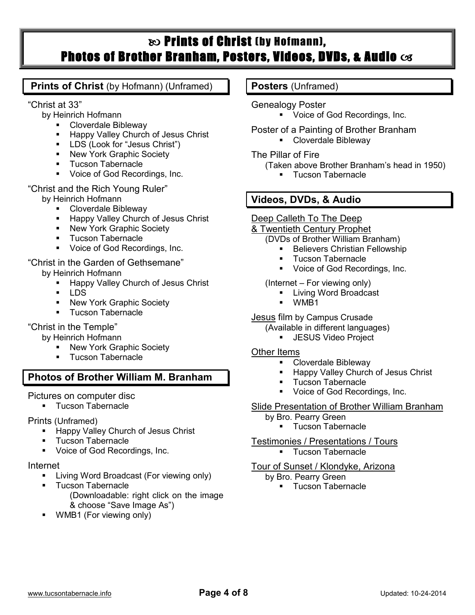# $\infty$  Prints of Christ (by Hofmann), Photos of Brother Branham, Posters, Videos, DVDs, & Audio  $c$ s

## **Prints of Christ** (by Hofmann) (Unframed)

"Christ at 33"

- by Heinrich Hofmann
	- Cloverdale Bibleway
	- **Happy Valley Church of Jesus Christ**
	- **LDS (Look for "Jesus Christ")**
	- **New York Graphic Society**
	- Tucson Tabernacle
	- Voice of God Recordings, Inc.

"Christ and the Rich Young Ruler"

by Heinrich Hofmann

- Cloverdale Bibleway
- **Happy Valley Church of Jesus Christ**
- **New York Graphic Society**
- Tucson Tabernacle
- Voice of God Recordings, Inc.

"Christ in the Garden of Gethsemane" by Heinrich Hofmann

- Happy Valley Church of Jesus Christ
- $-LDS$
- **New York Graphic Society**
- Tucson Tabernacle

## "Christ in the Temple"

by Heinrich Hofmann

- New York Graphic Society
- Tucson Tabernacle

# **Photos of Brother William M. Branham**

Pictures on computer disc

**Tucson Tabernacle** 

Prints (Unframed)

- **Happy Valley Church of Jesus Christ**
- Tucson Tabernacle
- **Voice of God Recordings, Inc.**

## Internet

- Living Word Broadcast (For viewing only)
- **Tucson Tabernacle** 
	- (Downloadable: right click on the image & choose "Save Image As")
- WMB1 (For viewing only)

## **Posters** (Unframed)

Genealogy Poster

- Voice of God Recordings, Inc.
- Poster of a Painting of Brother Branham
	- **-** Cloverdale Bibleway

## The Pillar of Fire

- (Taken above Brother Branham's head in 1950)
	- **Tucson Tabernacle**

## **Videos, DVDs, & Audio**

## Deep Calleth To The Deep

## & Twentieth Century Prophet

- (DVDs of Brother William Branham)
	- **Believers Christian Fellowship**
	- Tucson Tabernacle
	- **Voice of God Recordings, Inc.**

## (Internet – For viewing only)

- **Living Word Broadcast**
- WMB1

## Jesus film by Campus Crusade

- (Available in different languages)
	- **JESUS Video Project**

## Other Items

- Cloverdale Bibleway
- Happy Valley Church of Jesus Christ
- Tucson Tabernacle
- Voice of God Recordings, Inc.
- Slide Presentation of Brother William Branham
	- by Bro. Pearry Green
		- **Tucson Tabernacle**

## Testimonies / Presentations / Tours

**Tucson Tabernacle** 

## Tour of Sunset / Klondyke, Arizona

- by Bro. Pearry Green
	- **Tucson Tabernacle**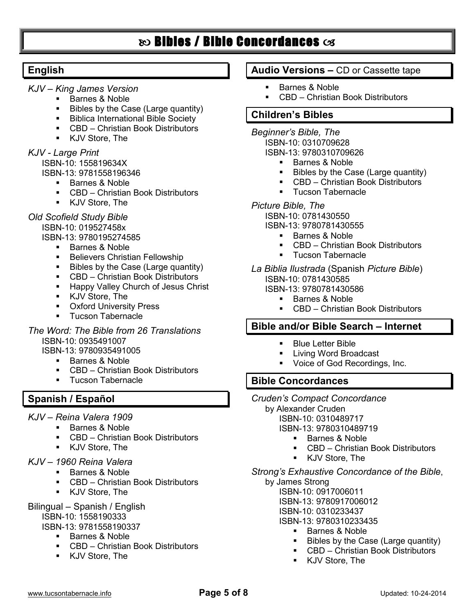# $\infty$  Bibles / Bible Concordances  $\infty$

## **English**

- *KJV – King James Version*
	- **Barnes & Noble**
	- Bibles by the Case (Large quantity)
	- **Biblica International Bible Society**
	- CBD Christian Book Distributors
	- KJV Store, The

## *KJV - Large Print*

ISBN-10: 155819634X

- ISBN-13: 9781558196346
	- Barnes & Noble
	- CBD Christian Book Distributors
	- KJV Store, The

#### *Old Scofield Study Bible* ISBN-10: 019527458x ISBN-13: 9780195274585

- **Barnes & Noble**
- **Believers Christian Fellowship**
- Bibles by the Case (Large quantity)
- CBD Christian Book Distributors
- **Happy Valley Church of Jesus Christ**
- KJV Store, The
- **Oxford University Press**
- **Tucson Tabernacle**

*The Word: The Bible from 26 Translations* ISBN-10: 0935491007

ISBN-13: 9780935491005

- **Barnes & Noble**
- CBD Christian Book Distributors
- Tucson Tabernacle

## **Spanish / Español**

- *KJV – Reina Valera 1909*
	- Barnes & Noble
	- CBD Christian Book Distributors
	- KJV Store, The

#### *KJV – 1960 Reina Valera*

- **Barnes & Noble** 
	- CBD Christian Book Distributors
	- KJV Store, The

#### Bilingual – Spanish / English

ISBN-10: 1558190333

ISBN-13: 9781558190337

- **Barnes & Noble**
- CBD Christian Book Distributors
- **KJV Store, The**

## **Audio Versions –** CD or Cassette tape

- **Barnes & Noble**
- CBD Christian Book Distributors

## **Children's Bibles**

- *Beginner's Bible, The*
	- ISBN-10: 0310709628
		- ISBN-13: 9780310709626
			- Barnes & Noble
			- Bibles by the Case (Large quantity)
			- CBD Christian Book Distributors
			- **Tucson Tabernacle**

## *Picture Bible, The*

ISBN-10: 0781430550

ISBN-13: 9780781430555

- **Barnes & Noble**
- CBD Christian Book Distributors
- Tucson Tabernacle
- *La Biblia Ilustrada* (Spanish *Picture Bible*) ISBN-10: 0781430585
	- ISBN-13: 9780781430586
		- **Barnes & Noble**
		- CBD Christian Book Distributors

## **Bible and/or Bible Search – Internet**

- **Blue Letter Bible**
- **Living Word Broadcast**
- Voice of God Recordings, Inc.

## **Bible Concordances**

- *Cruden's Compact Concordance*
	- by Alexander Cruden
		- ISBN-10: 0310489717
		- ISBN-13: 9780310489719
			- Barnes & Noble
			- CBD Christian Book Distributors
			- KJV Store, The

## *Strong's Exhaustive Concordance of the Bible*,

by James Strong ISBN-10: 0917006011 ISBN-13: 9780917006012 ISBN-10: 0310233437

- ISBN-13: 9780310233435
	- **Barnes & Noble**
	- **Bibles by the Case (Large quantity)**
	- CBD Christian Book Distributors
	- KJV Store, The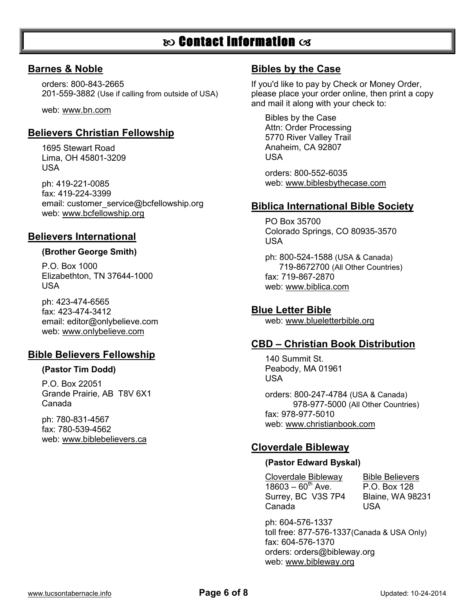# $\infty$  Contact Information  $\infty$

#### **Barnes & Noble**

orders: 800-843-2665 201-559-3882 (Use if calling from outside of USA)

web: www.bn.com

## **Believers Christian Fellowship**

1695 Stewart Road Lima, OH 45801-3209 USA

ph: 419-221-0085 fax: 419-224-3399 email: [customer\\_service@bcfellowship.org](mailto:customer_service@bcfellowship.org) web: www.bcfellowship.org

## **Believers International**

#### **(Brother George Smith)**

P.O. Box 1000 Elizabethton, TN 37644-1000 USA

ph: 423-474-6565 fax: 423-474-3412 email: [editor@onlybelieve.com](mailto:editor@onlybelieve.com) web: www.onlybelieve.com

## **Bible Believers Fellowship**

#### **(Pastor Tim Dodd)**

P.O. Box 22051 Grande Prairie, AB T8V 6X1 Canada

ph: 780-831-4567 fax: 780-539-4562 web: www.biblebelievers.ca

## **Bibles by the Case**

If you'd like to pay by Check or Money Order, please place your order online, then print a copy and mail it along with your check to:

Bibles by the Case Attn: Order Processing 5770 River Valley Trail Anaheim, CA 92807 USA

orders: 800-552-6035 web: www.biblesbythecase.com

#### **Biblica International Bible Society**

PO Box 35700 Colorado Springs, CO 80935-3570 USA

ph: 800-524-1588 (USA & Canada) 719-8672700 (All Other Countries) fax: 719-867-2870 web: www.biblica.com

## **Blue Letter Bible**

web: www.blueletterbible.org

## **CBD – Christian Book Distribution**

140 Summit St. Peabody, MA 01961 USA

orders: 800-247-4784 (USA & Canada) 978-977-5000 (All Other Countries) fax: 978-977-5010 web: www.christianbook.com

## **Cloverdale Bibleway**

#### **(Pastor Edward Byskal)**

Cloverdale Bibleway Bible Believers  $18603 - 60^{th}$  Ave. P.O. Box 128 Surrey, BC V3S 7P4 Blaine, WA 98231 Canada USA

ph: 604-576-1337 toll free: 877-576-1337(Canada & USA Only) fax: 604-576-1370 orders: [orders@bibleway.org](mailto:orders@bibleway.org) web: www.bibleway.org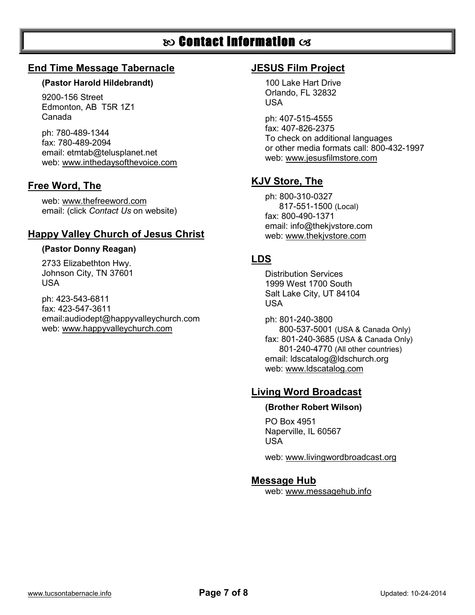# $\infty$  Contact Information  $\infty$

## **End Time Message Tabernacle**

#### **(Pastor Harold Hildebrandt)**

9200-156 Street Edmonton, AB T5R 1Z1 Canada

ph: 780-489-1344 fax: 780-489-2094 email: [etmtab@telusplanet.net](mailto:etmtab@telusplanet.net) web: www.inthedaysofthevoice.com

## **Free Word, The**

web: www.thefreeword.com email: (click *Contact Us* on website)

## **Happy Valley Church of Jesus Christ**

#### **(Pastor Donny Reagan)**

2733 Elizabethton Hwy. Johnson City, TN 37601 USA

ph: 423-543-6811 fax: 423-547-3611 email:audiodept@happyvalleychurch.com web: www.happyvalleychurch.com

## **JESUS Film Project**

100 Lake Hart Drive Orlando, FL 32832 USA

ph: 407-515-4555 fax: 407-826-2375 To check on additional languages or other media formats call: 800-432-1997 web: [www.jesusfilmstore.com](http://www.jesusfilmstore.com/)

## **KJV Store, The**

ph: 800-310-0327 817-551-1500 (Local) fax: 800-490-1371 email: [info@thekjvstore.com](mailto:info@thekjvstore.com) web: [www.t](http://www./)hekjvstore.com

## **LDS**

Distribution Services 1999 West 1700 South Salt Lake City, UT 84104 USA

ph: 801-240-3800 800-537-5001 (USA & Canada Only) fax: 801-240-3685 (USA & Canada Only) 801-240-4770 (All other countries) email: [ldscatalog@ldschurch.org](mailto:ldscatalog@ldschurch.org) web: www.ldscatalog.com

## **Living Word Broadcast**

#### **(Brother Robert Wilson)**

PO Box 4951 Naperville, IL 60567 USA

web: www.livingwordbroadcast.org

## **Message Hub**

web: www.messagehub.info